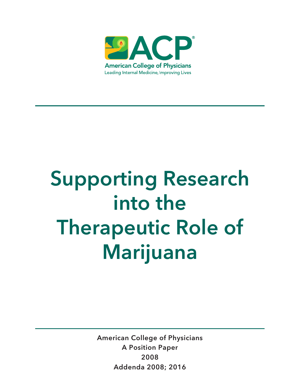

# Supporting Research into the Therapeutic Role of Marijuana

American College of Physicians A Position Paper 2008 Addenda 2008; 2016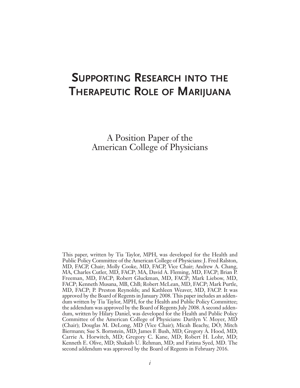# **SUPPORTING RESEARCH INTO THE THERAPEUTIC ROLE OF MARIJUANA**

A Position Paper of the American College of Physicians

This paper, written by Tia Taylor, MPH, was developed for the Health and Public Policy Committee of the American College of Physicians: J. Fred Ralston, MD, FACP, Chair; Molly Cooke, MD, FACP, Vice Chair; Andrew A. Chang, MA, Charles Cutler, MD, FACP; MA, David A. Fleming, MD, FACP; Brian P. Freeman, MD, FACP; Robert Gluckman, MD, FACP; Mark Liebow, MD, FACP; Kenneth Musana, MB, ChB; Robert McLean, MD, FACP; Mark Purtle, MD, FACP; P. Preston Reynolds; and Kathleen Weaver, MD, FACP. It was approved by the Board of Regents in January 2008. This paperincludes an addendum written by Tia Taylor, MPH, for the Health and Public Policy Committee; the addendum was approved by the Board of Regents July 2008. A second addendum, written by Hilary Daniel, was developed for the Health and Public Policy Committee of the American College of Physicians: Darilyn V. Moyer, MD (Chair); Douglas M. DeLong, MD (Vice Chair); Micah Beachy, DO; Mitch Biermann; Sue S. Bornstein, MD; James F. Bush, MD; Gregory A. Hood, MD; Carrie A. Horwitch, MD; Gregory C. Kane, MD; Robert H. Lohr, MD; Kenneth E. Olive, MD; Shakaib U. Rehman, MD; and Fatima Syed, MD. The second addendum was approved by the Board of Regents in February 2016.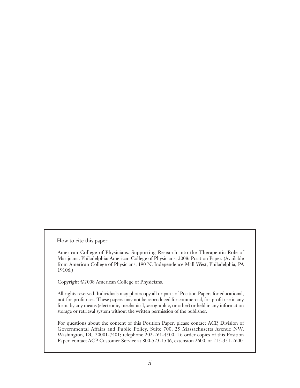How to cite this paper:

 American College of Physicians. Supporting Research into the Therapeutic Role of Marijuana. Philadelphia: American College of Physicians; 2008: Position Paper. (Available from American College of Physicians, 190 N. Independence Mall West, Philadelphia, PA 19106.)

Copyright ©2008 American College of Physicians.

 All rights reserved. Individuals may photocopy all or parts of Position Papers for educational, not-for-profit uses. These papers may not be reproduced for commercial, for-profit use in any form, by any means (electronic, mechanical, xerographic, or other) or held in any information storage or retrieval system without the written permission of the publisher.

 For questions about the content of this Position Paper, please contact ACP, Division of Governmental Affairs and Public Policy, Suite 700, 25 Massachusetts Avenue NW, Washington, DC 20001-7401; telephone 202-261-4500. To order copies of this Position Paper, contact ACP Customer Service at 800-523-1546, extension 2600, or 215-351-2600.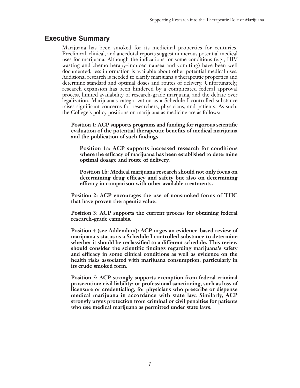### **Executive Summary**

Marijuana has been smoked for its medicinal properties for centuries. Preclinical, clinical, and anecdotal reports suggest numerous potential medical uses for marijuana. Although the indications for some conditions (e.g., HIV wasting and chemotherapy-induced nausea and vomiting) have been well documented, less information is available about other potential medical uses. Additional research is needed to clarify marijuana's therapeutic properties and determine standard and optimal doses and routes of delivery. Unfortunately, research expansion has been hindered by a complicated federal approval process, limited availability of research-grade marijuana, and the debate over legalization. Marijuana's categorization as a Schedule I controlled substance raises significant concerns for researchers, physicians, and patients. As such, the College's policy positions on marijuana as medicine are as follows:

**Position 1: ACP supports programs and funding for rigorous scientific evaluation of the potential therapeutic benefits of medical marijuana and the publication of such findings.**

 **Position 1a: ACP supports increased research for conditions where the efficacy of marijuana has been established to determine optimal dosage and route of delivery.**

 **Position 1b: Medical marijuana research should not only focus on determining drug efficacy and safety but also on determining efficacy in comparison with other available treatments.**

**Position 2: ACP encourages the use of nonsmoked forms of THC that have proven therapeutic value.**

**Position 3: ACP supports the current process for obtaining federal research-grade cannabis.**

**Position 4 (see Addendum): ACP urges an evidence-based review of marijuana's status as a Schedule I controlled substance to determine whether it should be reclassified to a different schedule. This review should consider the scientific findings regarding marijuana's safety and efficacy in some clinical conditions as well as evidence on the health risks associated with marijuana consumption, particularly in its crude smoked form.**

**Position 5: ACP strongly supports exemption from federal criminal prosecution; civil liability; or professional sanctioning, such as loss of licensure or credentialing, for physicians who prescribe or dispense medical marijuana in accordance with state law. Similarly, ACP strongly urges protection from criminal or civil penalties for patients who use medical marijuana as permitted under state laws.**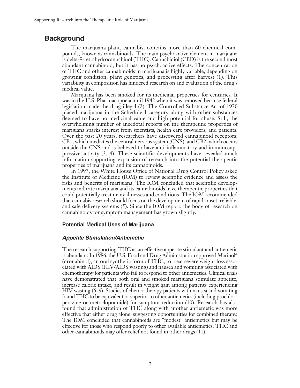## **Background**

The marijuana plant, cannabis, contains more than 60 chemical compounds, known as cannabinoids. The main psychoactive element in marijuana is delta-9-tetrahydrocannabinol (THC). Cannabidiol (CBD) is the second most abundant cannabinoid, but it has no psychoactive effects. The concentration of THC and other cannabinoids in marijuana is highly variable, depending on growing condition, plant genetics, and processing after harvest (1). This variability in composition has hindered research on and evaluation of the drug's medical value.

Marijuana has been smoked for its medicinal properties for centuries. It was in the U.S. Pharmacopoeia until 1942 when it was removed because federal legislation made the drug illegal (2). The Controlled Substance Act of 1970 placed marijuana in the Schedule I category along with other substances deemed to have no medicinal value and high potential for abuse. Still, the overwhelming number of anecdotal reports on the therapeutic properties of marijuana sparks interest from scientists, health care providers, and patients. Over the past 20 years, researchers have discovered cannabinoid receptors: CB1, which mediates the central nervous system (CNS), and CB2, which occurs outside the CNS and is believed to have anti-inflammatory and immunosuppressive activity (3, 4). These scientific developments have revealed much information supporting expansion of research into the potential therapeutic properties of marijuana and its cannabinoids.

In 1997, the White House Office of National Drug Control Policy asked the Institute of Medicine (IOM) to review scientific evidence and assess the risks and benefits of marijuana. The IOM concluded that scientific developments indicate marijuana and its cannabinoids have therapeutic properties that could potentially treat many illnesses and conditions. The IOM recommended that cannabis research should focus on the development of rapid-onset, reliable, and safe delivery systems (5). Since the IOM report, the body of research on cannabinoids for symptom management has grown slightly.

### **Potential Medical Uses of Marijuana**

### *Appetite Stimulation/Antiemetic*

The research supporting THC as an effective appetite stimulant and antiemetic is abundant. In 1986, the U.S. Food and Drug Administration approved Marinol ® (dronabinol), an oral synthetic form of THC, to treat severe weight loss associated with AIDS (HIV/AIDS wasting) and nausea and vomiting associated with chemotherapy for patients who fail to respond to other antiemetics. Clinical trials have demonstrated that both oral and smoked marijuana stimulate appetite, increase caloric intake, and result in weight gain among patients experiencing HIV wasting (6–9). Studies of chemo-therapy patients with nausea and vomiting found THC to be equivalent or superior to other antiemetics (including prochlorperazine or metoclopramide) for symptom reduction (10). Research has also found that administration of THC along with another antiemetic was more effective that either drug alone, suggesting opportunities for combined therapy. The IOM concluded that cannabinoids are "modest" antiemetics but may be effective for those who respond poorly to other available antiemetics. THC and other cannabinoids may offer relief not found in other drugs (11).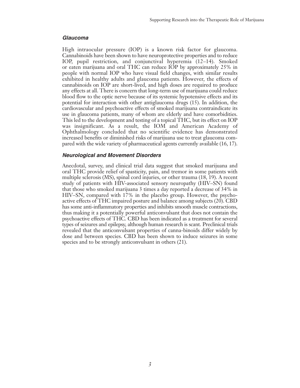#### *Glaucoma*

High intraocular pressure (IOP) is a known risk factor for glaucoma. Cannabinoids have been shown to have neuroprotective properties and to reduce IOP, pupil restriction, and conjunctival hyperemia (12–14). Smoked or eaten marijuana and oral THC can reduce IOP by approximately 25% in people with normal IOP who have visual field changes, with similar results exhibited in healthy adults and glaucoma patients. However, the effects of cannabinoids on IOP are short-lived, and high doses are required to produce any effects at all. There is concern that long-term use of marijuana could reduce blood flow to the optic nerve because of its systemic hypotensive effects and its potential for interaction with other antiglaucoma drugs (15). In addition, the cardiovascular and psychoactive effects of smoked marijuana contraindicate its use in glaucoma patients, many of whom are elderly and have comorbidities. This led to the development and testing of a topical THC, but its effect on IOP was insignificant. As a result, the IOM and American Academy of Ophthalmology concluded that no scientific evidence has demonstrated increased benefits or diminished risks of marijuana use to treat glaucoma compared with the wide variety of pharmaceutical agents currently available (16, 17).

### *Neurological and Movement Disorders*

Anecdotal, survey, and clinical trial data suggest that smoked marijuana and oral THC provide relief of spasticity, pain, and tremor in some patients with multiple sclerosis (MS), spinal cord injuries, or other trauma (18, 19). A recent study of patients with HIV-associated sensory neuropathy (HIV–SN) found that those who smoked marijuana 3 times a day reported a decrease of 34% in HIV–SN, compared with 17% in the placebo group. However, the psychoactive effects of THC impaired posture and balance among subjects (20). CBD has some anti-inflammatory properties and inhibits smooth muscle contractions, thus making it a potentially powerful anticonvulsant that does not contain the psychoactive effects of THC. CBD has been indicated as a treatment for several types of seizures and epilepsy, although human research is scant. Preclinical trials revealed that the anticonvulsant properties of canna-binoids differ widely by dose and between species. CBD has been shown to induce seizures in some species and to be strongly anticonvulsant in others (21).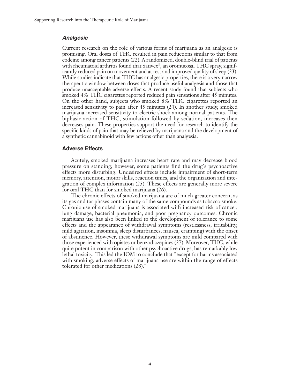### *Analgesic*

Current research on the role of various forms of marijuana as an analgesic is promising. Oral doses of THC resulted in pain reductions similar to that from codeine among cancer patients (22). A randomized, double-blind trial of patients with rheumatoid arthritis found that Sativex<sup>®</sup>, an oromucosal THC spray, significantly reduced pain on movement and at rest and improved quality of sleep (23). While studies indicate that THC has analgesic properties, there is a very narrow therapeutic window between doses that produce useful analgesia and those that produce unacceptable adverse effects. A recent study found that subjects who smoked 4% THC cigarettes reported reduced pain sensations after 45 minutes. On the other hand, subjects who smoked 8% THC cigarettes reported an increased sensitivity to pain after 45 minutes (24). In another study, smoked marijuana increased sensitivity to electric shock among normal patients. The biphasic action of THC, stimulation followed by sedation, increases then decreases pain. These properties support the need for research to identify the specific kinds of pain that may be relieved by marijuana and the development of a synthetic cannabinoid with few actions other than analgesia.

### **Adverse Effects**

Acutely, smoked marijuana increases heart rate and may decrease blood pressure on standing; however, some patients find the drug's psychoactive effects more disturbing. Undesired effects include impairment of short-term memory, attention, motor skills, reaction times, and the organization and integration of complex information (25). These effects are generally more severe for oral THC than for smoked marijuana (26).

The chronic effects of smoked marijuana are of much greater concern, as its gas and tar phases contain many of the same compounds as tobacco smoke. Chronic use of smoked marijuana is associated with increased risk of cancer, lung damage, bacterial pneumonia, and poor pregnancy outcomes. Chronic marijuana use has also been linked to the development of tolerance to some effects and the appearance of withdrawal symptoms (restlessness, irritability, mild agitation, insomnia, sleep disturbances, nausea, cramping) with the onset of abstinence. However, these withdrawal symptoms are mild compared with those experienced with opiates or benzodiazepines (27). Moreover, THC, while quite potent in comparison with other psychoactive drugs, has remarkably low lethal toxicity. This led the IOM to conclude that "except for harms associated with smoking, adverse effects of marijuana use are within the range of effects tolerated for other medications (28)."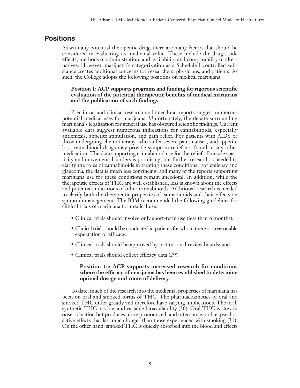## **Positions**

As with any potential therapeutic drug, there are many factors that should be considered in evaluating its medicinal value. These include the drug's side effects, methods of administration, and availability and comparability of alternatives. However, marijuana's categorization as a Schedule I controlled substance creates additional concerns for researchers, physicians, and patients. As such, the College adopts the following positions on medical marijuana:

### **Position 1: ACP supports programs and funding for rigorous scientific evaluation of the potential therapeutic benefits of medical marijuana and the publication of such findings.**

Preclinical and clinical research and anecdotal reports suggest numerous potential medical uses for marijuana. Unfortunately, the debate surrounding marijuana's legalization for general use has obscured scientific findings. Current available data suggest numerous indications for cannabinoids, especially antiemesis, appetite stimulation, and pain relief. For patients with AIDS or those undergoing chemotherapy, who suffer severe pain, nausea, and appetite loss, cannabinoid drugs may provide symptom relief not found in any other medication. The data supporting cannabinoid use for the relief of muscle spasticity and movement disorders is promising, but further research is needed to clarify the roles of cannabinoids in treating these conditions. For epilepsy and glaucoma, the data is much less convincing, and many of the reports supporting marijuana use for these conditions remain anecdotal. In addition, while the therapeutic effects of THC are well established, less is known about the effects and potential indications of other cannabinoids. Additional research is needed to clarify both the therapeutic properties of cannabinoids and their effects on symptom management. The IOM recommended the following guidelines for clinical trials of marijuana for medical use:

- Clinical trials should involve only short-term use (less than 6 months);
- Clinical trials should be conducted in patients for whom there is a reasonable expectation of efficacy;
- Clinical trials should be approved by institutional review boards; and
- Clinical trials should collect efficacy data (29).

### **Position 1a: ACP supports increased research for conditions where the efficacy of marijuana has been established to determine optimal dosage and route of delivery.**

To date, much of the research into the medicinal properties of marijuana has been on oral and smoked forms of THC. The pharmacokinetics of oral and smoked THC differ greatly and therefore have varying implications. The oral, synthetic THC has low and variable bioavailability (30). Oral THC is slow in onset of action but produces more pronounced, and often unfavorable, psychoactive effects that last much longer than those experienced with smoking (31). On the other hand, smoked THC is quickly absorbed into the blood and effects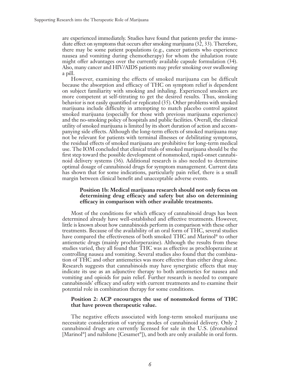are experienced immediately. Studies have found that patients prefer the immediate effect on symptoms that occurs after smoking marijuana (32, 33). Therefore, there may be some patient populations (e.g., cancer patients who experience nausea and vomiting during chemotherapy) for whom the inhalation route might offer advantages over the currently available capsule formulation (34). Also, many cancer and HIV/AIDS patients may prefer smoking over swallowing a pill.

However, examining the effects of smoked marijuana can be difficult because the absorption and efficacy of THC on symptom relief is dependent on subject familiarity with smoking and inhaling. Experienced smokers are more competent at self-titrating to get the desired results. Thus, smoking behavior is not easily quantified or replicated (35). Other problems with smoked marijuana include difficulty in attempting to match placebo control against smoked marijuana (especially for those with previous marijuana experience) and the no-smoking policy of hospitals and public facilities. Overall, the clinical utility of smoked marijuana is limited by its short duration of action and accompanying side effects. Although the long-term effects of smoked marijuana may not be relevant for patients with terminal illnesses or debilitating symptoms, the residual effects of smoked marijuana are prohibitive for long-term medical use. The IOM concluded that clinical trials of smoked marijuana should be the first step toward the possible development of nonsmoked, rapid-onset cannabinoid delivery systems (36). Additional research is also needed to determine optimal dosage of cannabinoid drugs for symptom management. Current data has shown that for some indications, particularly pain relief, there is a small margin between clinical benefit and unacceptable adverse events.

### **Position 1b: Medical marijuana research should not only focus on determining drug efficacy and safety but also on determining efficacy in comparison with other available treatments.**

Most of the conditions for which efficacy of cannabinoid drugs has been determined already have well-established and effective treatments. However, little is known about how cannabinoids perform in comparison with these other treatments. Because of the availability of an oral form of THC, several studies have compared the effectiveness of both smoked THC and Marinol ® to other antiemetic drugs (mainly prochlorperazine). Although the results from these studies varied, they all found that THC was as effective as prochloperazine at controlling nausea and vomiting. Several studies also found that the combination of THC and other antiemetics was more effective than either drug alone. Research suggests that cannabinoids may have synergistic effects that may indicate its use as an adjunctive therapy to both antiemetics for nausea and vomiting and opioids for pain relief. Further research is needed to compare cannabinoids' efficacy and safety with current treatments and to examine their potential role in combination therapy for some conditions.

### **Position 2: ACP encourages the use of nonsmoked forms of THC that have proven therapeutic value.**

The negative effects associated with long-term smoked marijuana use necessitate consideration of varying modes of cannabinoid delivery. Only 2 cannabinoid drugs are currently licensed for sale in the U.S. (dronabinol [Marinol ®] and nabilone [Cesamet ®]), and both are only available in oral form.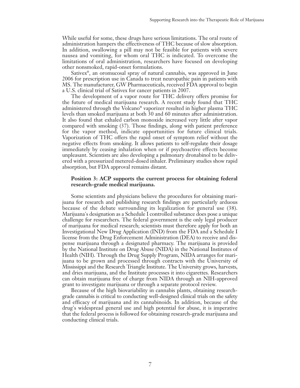While useful for some, these drugs have serious limitations. The oral route of administration hampers the effectiveness of THC because of slow absorption. In addition, swallowing a pill may not be feasible for patients with severe nausea and vomiting, for whom oral THC is indicated. To overcome the limitations of oral administration, researchers have focused on developing other nonsmoked, rapid-onset formulations.

Sativex®, an oromucosal spray of natural cannabis, was approved in June 2006 for prescription use in Canada to treat neuropathic pain in patients with MS. The manufacturer, GW Pharmaceuticals, received FDA approval to begin a U.S. clinical trial of Sativex for cancer patients in 2007.

The development of a vapor route for THC delivery offers promise for the future of medical marijuana research. A recent study found that THC administered through the Volcano® vaporizer resulted in higher plasma THC levels than smoked marijuana at both 30 and 60 minutes after administration. It also found that exhaled carbon monoxide increased very little after vapor compared with smoking (37). Those findings, along with patient preference for the vapor method, indicate opportunities for future clinical trials. Vaporization of THC offers the rapid onset of symptom relief without the negative effects from smoking. It allows patients to self-regulate their dosage immediately by ceasing inhalation when or if psychoactive effects become unpleasant. Scientists are also developing a pulmonary dronabinol to be delivered with a pressurized metered-dosed inhaler. Preliminary studies show rapid absorption, but FDA approval remains distant.

### **Position 3: ACP supports the current process for obtaining federal research-grade medical marijuana.**

Some scientists and physicians believe the procedures for obtaining marijuana for research and publishing research findings are particularly arduous because of the debate surrounding its legalization for general use (38). Marijuana's designation as a Schedule I controlled substance does pose a unique challenge for researchers. The federal government is the only legal producer of marijuana for medical research; scientists must therefore apply for both an Investigational New Drug Application (IND) from the FDA and a Schedule I license from the Drug Enforcement Administration (DEA) to receive and dispense marijuana through a designated pharmacy. The marijuana is provided by the National Institute on Drug Abuse (NIDA) in the National Institutes of Health (NIH). Through the Drug Supply Program, NIDA arranges for marijuana to be grown and processed through contracts with the University of Mississippi and the Research Triangle Institute. The University grows, harvests, and dries marijuana, and the Institute processes it into cigarettes. Researchers can obtain marijuana free of charge from NIDA through an NIH-approved grant to investigate marijuana or through a separate protocol review.

Because of the high biovariability in cannabis plants, obtaining researchgrade cannabis is critical to conducting well-designed clinical trials on the safety and efficacy of marijuana and its cannabinoids. In addition, because of the drug's widespread general use and high potential for abuse, it is imperative that the federal process is followed for obtaining research-grade marijuana and conducting clinical trials.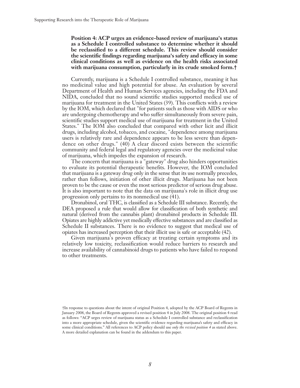**Position 4: ACP urges an evidence-based review of marijuana's status as a Schedule I controlled substance to determine whether it should be reclassified to a different schedule. This review should consider the scientific findings regarding marijuana's safety and efficacy in some clinical conditions as well as evidence on the health risks associated with marijuana consumption, particularly in its crude smoked form.†**

Currently, marijuana is a Schedule I controlled substance, meaning it has no medicinal value and high potential for abuse. An evaluation by several Department of Health and Human Services agencies, including the FDA and NIDA, concluded that no sound scientific studies supported medical use of marijuana for treatment in the United States (39). This conflicts with a review by the IOM, which declared that "for patients such as those with AIDS or who are undergoing chemotherapy and who suffer simultaneously from severe pain, scientific studies support medical use of marijuana for treatment in the United States." The IOM also concluded that compared with other licit and illicit drugs, including alcohol, tobacco, and cocaine, "dependence among marijuana users is relatively rare and dependence appears to be less severe than dependence on other drugs." (40) A clear discord exists between the scientific community and federal legal and regulatory agencies over the medicinal value of marijuana, which impedes the expansion of research.

The concern that marijuana is a "gateway" drug also hinders opportunities to evaluate its potential therapeutic benefits. However, the IOM concluded that marijuana is a gateway drug only in the sense that its use normally precedes, rather than follows, initiation of other illicit drugs. Marijuana has not been proven to be the cause or even the most serious predictor of serious drug abuse. It is also important to note that the data on marijuana's role in illicit drug use progression only pertains to its nonmedical use (41).

Dronabinol, oral THC, is classified as a Schedule III substance. Recently, the DEA proposed a rule that would allow for classification of both synthetic and natural (derived from the cannabis plant) dronabinol products in Schedule III. Opiates are highly addictive yet medically effective substances and are classified as Schedule II substances. There is no evidence to suggest that medical use of opiates has increased perception that their illicit use is safe or acceptable (42).

Given marijuana's proven efficacy at treating certain symptoms and its relatively low toxicity, reclassification would reduce barriers to research and increase availability of cannabinoid drugs to patients who have failed to respond to other treatments.

<sup>†</sup>In response to questions about the intent of original Position 4, adopted by the ACP Board of Regents in January 2008, the Board of Regents approved a revised position 4 in July 2008. The original position 4 read as follows: "ACP urges review of marijuana status as a Schedule I controlled substance and reclassification into a more appropriate schedule, given the scientific evidence regarding marijuana's safety and efficacy in some clinical conditions." All references to ACP policy should use *only the revised position 4* as stated above. A more detailed explanation can be found in the addendum to this paper.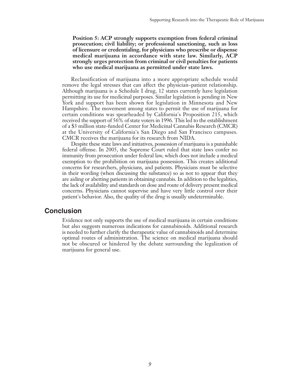**Position 5: ACP strongly supports exemption from federal criminal prosecution; civil liability; or professional sanctioning, such as loss of licensure or credentialing, for physicians who prescribe or dispense medical marijuana in accordance with state law. Similarly, ACP strongly urges protection from criminal or civil penalties for patients who use medical marijuana as permitted under state laws.**

Reclassification of marijuana into a more appropriate schedule would remove the legal stresses that can affect the physician–patient relationship. Although marijuana is a Schedule I drug, 12 states currently have legislation permitting its use for medicinal purposes. Similar legislation is pending in New York and support has been shown for legislation in Minnesota and New Hampshire. The movement among states to permit the use of marijuana for certain conditions was spearheaded by California's Proposition 215, which received the support of 56% of state voters in 1996. This led to the establishment of a \$3 million state-funded Center for Medicinal Cannabis Research (CMCR) at the University of California's San Diego and San Francisco campuses. CMCR receives the marijuana for its research from NIDA.

Despite these state laws and initiatives, possession of marijuana is a punishable federal offense. In 2005, the Supreme Court ruled that state laws confer no immunity from prosecution under federal law, which does not include a medical exemption to the prohibition on marijuana possession. This creates additional concerns for researchers, physicians, and patients. Physicians must be selective in their wording (when discussing the substance) so as not to appear that they are aiding or abetting patients in obtaining cannabis. In addition to the legalities, the lack of availability and standards on dose and route of delivery present medical concerns. Physicians cannot supervise and have very little control over their patient's behavior. Also, the quality of the drug is usually undeterminable.

### **Conclusion**

Evidence not only supports the use of medical marijuana in certain conditions but also suggests numerous indications for cannabinoids. Additional research is needed to further clarify the therapeutic value of cannabinoids and determine optimal routes of administration. The science on medical marijuana should not be obscured or hindered by the debate surrounding the legalization of marijuana for general use.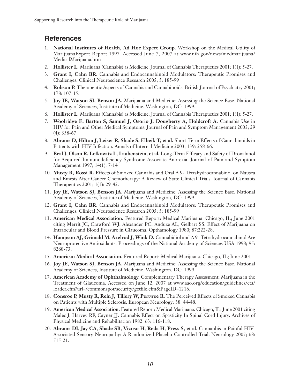# **References**

- 1. **National Institutes of Health, Ad Hoc Expert Group.** Workshop on the Medical Utility of MarijuanaExpert Report 1997. Accessed June 7, 2007 at www.nih.gov/news/medmarijuana/ MedicalMarijuana.htm
- 2. **Hollister L.** Marijuana (Cannabis) as Medicine. Journal of Cannabis Therapuetics 2001; 1(1): 5-27.
- 3. **Grant I, Cahn BR.** Cannabis and Endocannabinoid Modulators: Therapeutic Promises and Challenges. Clinical Neuroscience Research 2005; 5: 185-99
- 4. **Robson P.** Therapeutic Aspects of Cannabis and Cannabinoids. British Journal of Psychiatry 2001; 178: 107-15.
- 5. **Joy JE, Watson SJ, Benson JA.** Marijuana and Medicine: Assessing the Science Base. National Academy of Sciences, Institute of Medicine. Washington, DC; 1999.
- 6. **Hollister L.** Marijuana (Cannabis) as Medicine. Journal of Cannabis Therapuetics 2001; 1(1): 5-27.
- 7. **Woolridge E, Barton S, Samuel J, Osorio J, Dougherty A, Holdcroft A.** Cannabis Use in HIV for Pain and Other Medical Symptoms. Journal of Pain and Symptom Management 2005; 29 (4): 358-67
- 8. **Abrams D, Hilton J, Leiser R, Shade S, Elbeik T, et al.** Short-Term Effects of Cannabinoids in Patients with HIV-Infection. Annals of Internal Medicine 2003; 139: 258-66.
- 9. **Beal J, Olson R, Lefkowitz L, Laubenstein, et al.** Long-Term Efficacy and Safety of Dronabinol for Acquired Immunodeficiency Syndrome-Associate Anorexia. Journal of Pain and Symptom Management 1997; 14(1): 7-14
- 10. **Musty R, Rossi R.** Effects of Smoked Cannabis and Oral ∆ 9- Tetrahydrocannabinol on Nausea and Emesis After Cancer Chemotherapy: A Review of State Clinical Trials. Journal of Cannabis Therapeutics 2001; 1(1): 29-42.
- 11. **Joy JE, Watson SJ, Benson JA.** Marijuana and Medicine: Assessing the Science Base. National Academy of Sciences, Institute of Medicine. Washington, DC; 1999.
- 12. **Grant I, Cahn BR.** Cannabis and Endocannabinoid Modulators: Therapeutic Promises and Challenges. Clinical Neuroscience Research 2005; 5: 185-99
- 13. **American Medical Association.** Featured Report: Medical Marijuana. Chicago, IL; June 2001 citing Merrit JC, Crawford WJ, Alexander PC, Anduze AL, Gelbart SS. Effect of Marijuana on Intraocular and Blood Pressure in Glaucoma. Opthamology 1980; 87:222-28.
- 14. **Hampson AJ, Grimald M, Axelrod J, Wink D.** Cannabidiol and ∆ 9- Tetrahydrocannabinol Are Neuroprotective Antioxidants. Proceedings of the National Academy of Sciences USA 1998; 95: 8268-73.
- 15. **American Medical Association.** Featured Report: Medical Marijuana. Chicago, IL; June 2001.
- 16. **Joy JE, Watson SJ, Benson JA.** Marijuana and Medicine: Assessing the Science Base. National Academy of Sciences, Institute of Medicine. Washington, DC; 1999.
- 17. **American Academy of Ophthalmology.** Complementary Therapy Assessment: Marijuana in the Treatment of Glaucoma. Accessed on June 12, 2007 at www.aao.org/education/guidelines/cta/ loader.cfm?url=/commonspot/security/getfile.cfm&PageID=1216.
- 18. **Consroe P, Musty R, Rein J, Tillery W, Pertwee R.** The Perceived Effects of Smoked Cannabis on Patients with Multiple Sclerosis. European Neurology: 38: 44-48.
- 19. **American Medical Association.** Featured Report: Medical Marijuana. Chicago, IL; June 2001 citing Malec J, Harvey RF, Cayner JJ. Cannabis Effect on Spasticity In Spinal Cord Injury. Archives of Physical Medicine and Rehabilitation 1982: 63: 116-118.
- 20. **Abrams DI, Jay CA, Shade SB, Vizoso H, Reda H, Press S, et al.** Cannanbis in Painful HIV-Associated Sensory Neuropathy: A Randomized Placebo-Controlled Trial. Neurology 2007; 68: 515-21.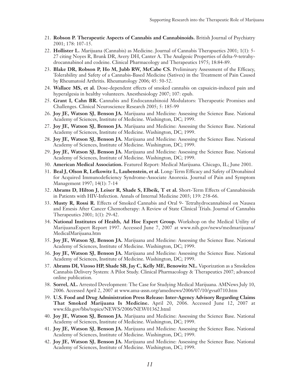- 21. **Robson P. Therapeutic Aspects of Cannabis and Cannabinoids.** British Journal of Psychiatry 2001; 178: 107-15.
- 22. **Hollister L.** Marijuana (Cannabis) as Medicine. Journal of Cannabis Therapuetics 2001; 1(1): 5- 27 citing Noyes R, Brunk DR, Avery DH, Canter A. The Analgesic Properties of delta-9-tetrahydrocannabinol and codeine. Clinical Pharmacology and Therapeutics 1975; 18:84-89.
- 23. **Blake DR, Robson P, Ho M, Jubb RW, McCabe CS.** Preliminary Assessment of the Efficacy, Tolerability and Safety of a Cannabis-Based Medicine (Sativex) in the Treatment of Pain Caused by Rheumatoid Arthritis. Rheumatology 2006; 45: 50-52.
- 24. **Wallace MS, et al.** Dose-dependent effects of smoked cannabis on capsaicin-induced pain and hyperalgesia in healthy volunteers. Anesthesiology 2007; 107: epub.
- 25. **Grant I, Cahn BR.** Cannabis and Endocannabinoid Modulators: Therapeutic Promises and Challenges. Clinical Neuroscience Research 2005; 5: 185-99
- 26. **Joy JE, Watson SJ, Benson JA.** Marijuana and Medicine: Assessing the Science Base. National Academy of Sciences, Institute of Medicine. Washington, DC; 1999.
- 27. **Joy JE, Watson SJ, Benson JA.** Marijuana and Medicine: Assessing the Science Base. National Academy of Sciences, Institute of Medicine. Washington, DC; 1999.
- 28. **Joy JE, Watson SJ, Benson JA.** Marijuana and Medicine: Assessing the Science Base. National Academy of Sciences, Institute of Medicine. Washington, DC; 1999.
- 29. **Joy JE, Watson SJ, Benson JA.** Marijuana and Medicine: Assessing the Science Base. National Academy of Sciences, Institute of Medicine. Washington, DC; 1999.
- 30. **American Medical Association.** Featured Report: Medical Marijuana. Chicago, IL; June 2001.
- 31. **Beal J, Olson R, Lefkowitz L, Laubenstein, et al.** Long-Term Efficacy and Safety of Dronabinol for Acquired Immunodeficiency Syndrome-Associate Anorexia. Journal of Pain and Symptom Management 1997; 14(1): 7-14
- 32. **Abrams D, Hilton J, Leiser R, Shade S, Elbeik, T et al.** Short-Term Effects of Cannabinoids in Patients with HIV-Infection. Annals of Internal Medicine 2003; 139: 258-66.
- 33. **Musty R, Rossi R.** Effects of Smoked Cannabis and Oral 9- Tetrahydrocannabinol on Nausea and Emesis After Cancer Chemotherapy: A Review of State Clinical Trials. Journal of Cannabis Therapeutics 2001; 1(1): 29-42.
- 34. **National Institutes of Health, Ad Hoc Expert Group.** Workshop on the Medical Utility of MarijuanaExpert Report 1997. Accessed June 7, 2007 at www.nih.gov/news/medmarijuana/ MedicalMarijuana.htm
- 35. **Joy JE, Watson SJ, Benson JA.** Marijuana and Medicine: Assessing the Science Base. National Academy of Sciences, Institute of Medicine. Washington, DC; 1999.
- 36. **Joy JE, Watson SJ, Benson JA.** Marijuana and Medicine: Assessing the Science Base. National Academy of Sciences, Institute of Medicine. Washington, DC; 1999.
- 37. **Abrams DI, Vizoso HP, Shade SB, Jay C, Kelly ME, Benowitz NL.** Vaporization as a Smokeless Cannabis Delivery System: A Pilot Study. Clinical Pharmacology & Therapeutics 2007; advanced online publication.
- 38. **Sorrel, AL.** Arrested Development: The Case for Studying Medical Marijuana. AMNews July 10, 2006. Accessed April 2, 2007 at www.ama-assn.org/amednews/2006/07/10/gvsa0710.htm
- 39. **U.S. Food and Drug Administration Press Release: Inter-Agency Advisory Regarding Claims That Smoked Marijuana Is Medicine.** April 20, 2006. Accessed June 12, 2007 at www.fda.gov/bbs/topics/NEWS/2006/NEW01362.html
- 40. **Joy JE, Watson SJ, Benson JA.** Marijuana and Medicine: Assessing the Science Base. National Academy of Sciences, Institute of Medicine. Washington, DC; 1999.
- 41. **Joy JE, Watson SJ, Benson JA.** Marijuana and Medicine: Assessing the Science Base. National Academy of Sciences, Institute of Medicine. Washington, DC; 1999.
- 42. **Joy JE, Watson SJ, Benson JA.** Marijuana and Medicine: Assessing the Science Base. National Academy of Sciences, Institute of Medicine. Washington, DC; 1999.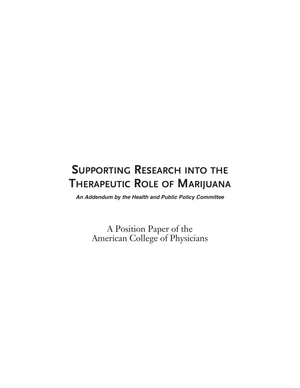# **SUPPORTING RESEARCH INTO THE THERAPEUTIC ROLE OF MARIJUANA**

*An Addendum by the Health and Public Policy Committee*

A Position Paper of the American College of Physicians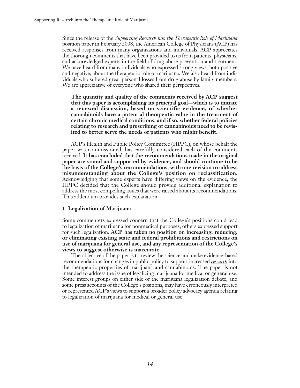Since the release of the *Supporting Research into the Therapeutic Role of Marijuana* position paper in February 2008, the American College of Physicians (ACP) has received responses from many organizations and individuals. ACP appreciates the thorough comments that have been provided to us from patients, physicians, and acknowledged experts in the field of drug abuse prevention and treatment. We have heard from many individuals who expressed strong views, both positive and negative, about the therapeutic role of marijuana. We also heard from individuals who suffered great personal losses from drug abuse by family members. We are appreciative of everyone who shared their perspectives.

**The quantity and quality of the comments received by ACP suggest that this paper is accomplishing its principal goal—which is to initiate a renewed discussion, based on scientific evidence, of whether cannabinoids have a potential therapeutic value in the treatment of certain chronic medical conditions, and if so, whether federal policies relating to research and prescribing of cannabinoids need to be revisited to better serve the needs of patients who might benefit.**

ACP's Health and Public Policy Committee (HPPC), on whose behalf the paper was commissioned, has carefully considered each of the comments received. **It has concluded that the recommendations made in the original paper are sound and supported by evidence, and should continue to be the basis of the College's recommendations, with one revision to address misunderstanding about the College's position on reclassification.** Acknowledging that some experts have differing views on the evidence, the HPPC decided that the College should provide additional explanation to address the most compelling issues that were raised about its recommendations. This addendum provides such explanation.

### **1. Legalization of Marijuana**

Some commenters expressed concern that the College's positions could lead to legalization of marijuana for nonmedical purposes; others expressed support for such legalization. **ACP has taken no position on increasing, reducing, or eliminating existing state and federal prohibitions and restrictions on use of marijuana for general use, and any representation of the College's views to suggest otherwise is inaccurate.**

The objective of the paper is to review the science and make evidence-based recommendations for changes in public policy to support increased *research* into the therapeutic properties of marijuana and cannabinoids. The paper is not intended to address the issue of legalizing marijuana for medical or general use. Some interest groups on either side of the marijuana legalization debate, and some press accounts of the College's positions, may have erroneously interpreted or represented ACP's views to support a broader policy advocacy agenda relating to legalization of marijuana for medical or general use.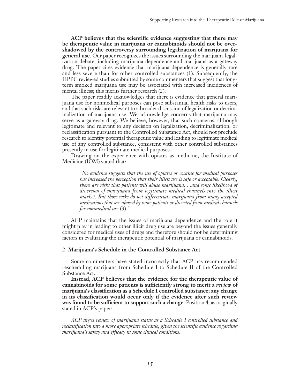**ACP believes that the scientific evidence suggesting that there may be therapeutic value in marijuana or cannabinoids should not be overshadowed by the controversy surrounding legalization of marijuana for general use.** Our paper recognizes the issues surrounding the marijuana legalization debate, including marijuana dependence and marijuana as a gateway drug. The paper cites evidence that marijuana dependence is generally rare and less severe than for other controlled substances (1). Subsequently, the HPPC reviewed studies submitted by some commenters that suggest that longterm smoked marijuana use may be associated with increased incidences of mental illness; this merits further research (2).

The paper readily acknowledges that there is evidence that general marijuana use for nonmedical purposes can pose substantial health risks to users, and that such risks are relevant to a broader discussion of legalization or decriminalization of marijuana use. We acknowledge concerns that marijuana may serve as a gateway drug. We believe, however, that such concerns, although legitimate and relevant to any decision on legalization, decriminalization, or reclassification pursuant to the Controlled Substance Act, should not preclude research to identify potential therapeutic value and leading to legitimate medical use of any controlled substance, consistent with other controlled substances presently in use for legitimate medical purposes..

Drawing on the experience with opiates as medicine, the Institute of Medicine (IOM) stated that:

 *"No evidence suggests that the use of opiates or cocaine for medical purposes has increased the perception that their illicit use is safe or acceptable. Clearly, there are risks that patients will abuse marijuana. . .and some likelihood of diversion of marijuana from legitimate medical channels into the illicit market. But those risks do not differentiate marijuana from many accepted medications that are abused by some patients or diverted from medical channels for nonmedical use* (3)."

ACP maintains that the issues of marijuana dependence and the role it might play in leading to other illicit drug use are beyond the issues generally considered for medical uses of drugs and therefore should not be determining factors in evaluating the therapeutic potential of marijuana or cannabinoids.

#### **2. Marijuana's Schedule in the Controlled Substance Act**

Some commenters have stated incorrectly that ACP has recommended rescheduling marijuana from Schedule I to Schedule II of the Controlled Substance Act.

**Instead, ACP believes that the evidence for the therapeutic value of cannabinoids for some patients is sufficiently strong to merit a** *review* **of marijuana's classification as a Schedule I controlled substance; any change in its classification would occur only if the evidence after such review was found to be sufficient to support such a change**. Position 4, as originally stated in ACP's paper:

*ACP urges review of marijuana status as a Schedule I controlled substance and reclassification into a more appropriate schedule, given the scientific evidence regarding marijuana's safety and efficacy in some clinical conditions.*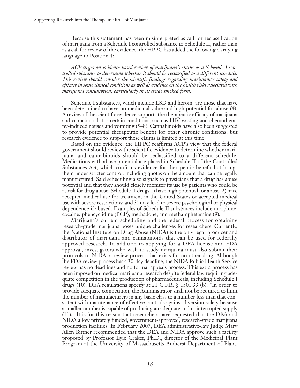Because this statement has been misinterpreted as call for reclassification of marijuana from a Schedule I controlled substance to Schedule II, rather than as a call for review of the evidence, the HPPC has added the following clarifying language to Position 4:

*ACP urges an evidence-based review of marijuana's status as a Schedule I controlled substance to determine whether it should be reclassified to a different schedule. This review should consider the scientific findings regarding marijuana's safety and efficacy in some clinical conditions as well as evidence on the health risks associated with marijuana consumption, particularly in its crude smoked form.*

Schedule I substances, which include LSD and heroin, are those that have been determined to have no medicinal value and high potential for abuse (4). A review of the scientific evidence supports the therapeutic efficacy of marijuana and cannabinoids for certain conditions, such as HIV wasting and chemotherapy-induced nausea and vomiting (5–8). Cannabinoids have also been suggested to provide potential therapeutic benefit for other chronic conditions, but research evidence to support these claims is limited at this time.

Based on the evidence, the HPPC reaffirms ACP's view that the federal government should review the scientific evidence to determine whether marijuana and cannabinoids should be reclassified to a different schedule. Medications with abuse potential are placed in Schedule II of the Controlled Substances Act, which confirms evidence for therapeutic benefit but brings them under stricter control, including quotas on the amount that can be legally manufactured. Said scheduling also signals to physicians that a drug has abuse potential and that they should closely monitor its use by patients who could be at risk for drug abuse. Schedule II drugs 1) have high potential for abuse; 2) have accepted medical use for treatment in the United States or accepted medical use with severe restrictions; and 3) may lead to severe psychological or physical dependence if abused. Examples of Schedule II substances include morphine, cocaine, phencyclidine (PCP), methadone, and methamphetamine (9).

Marijuana's current scheduling and the federal process for obtaining research-grade marijuana poses unique challenges for researchers. Currently, the National Institute on Drug Abuse (NIDA) is the only legal producer and distributor of marijuana and cannabinoids that can be used for federally approved research. In addition to applying for a DEA license and FDA approval, investigators who wish to study marijuana must also submit their protocols to NIDA, a review process that exists for no other drug. Although the FDA review process has a 30-day deadline, the NIDA Public Health Service review has no deadlines and no formal appeals process. This extra process has been imposed on medical marijuana research despite federal law requiring adequate competition in the production of pharmaceuticals, including Schedule I drugs (10). DEA regulations specify at 21 C.F.R. § 1301.33 (b), "In order to provide adequate competition, the Administrator shall not be required to limit the number of manufacturers in any basic class to a number less than that consistent with maintenance of effective controls against diversion solely because a smaller number is capable of producing an adequate and uninterrupted supply (11)." It is for this reason that researchers have requested that the DEA and NIDA allow privately funded, government-approved, research-grade marijuana production facilities. In February 2007, DEA administrative-law Judge Mary Allen Bittner recommended that the DEA and NIDA approve such a facility proposed by Professor Lyle Craker, Ph.D., director of the Medicinal Plant Program at the University of Massachusetts-Amherst Department of Plant,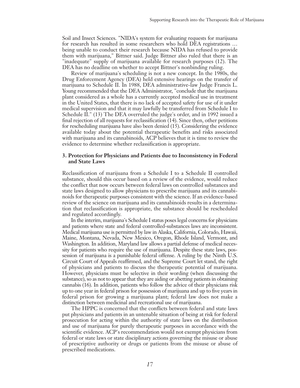Soil and Insect Sciences. "NIDA's system for evaluating requests for marijuana for research has resulted in some researchers who hold DEA registrations … being unable to conduct their research because NIDA has refused to provide them with marijuana," Bittner said. Judge Bittner also ruled that there is an "inadequate" supply of marijuana available for research purposes (12). The DEA has no deadline on whether to accept Bittner's nonbinding ruling.

Review of marijuana's scheduling is not a new concept. In the 1980s, the Drug Enforcement Agency (DEA) held extensive hearings on the transfer of marijuana to Schedule II. In 1988, DEA administrative-law Judge Francis L. Young recommended that the DEA Administrator, "conclude that the marijuana plant considered as a whole has a currently accepted medical use in treatment in the United States, that there is no lack of accepted safety for use of it under medical supervision and that it may lawfully be transferred from Schedule I to Schedule II." (13) The DEA overruled the judge's order, and in 1992 issued a final rejection of all requests for reclassification (14). Since then, other petitions for rescheduling marijuana have also been denied (15). Considering the evidence available today about the potential therapeutic benefits and risks associated with marijuana and its cannabinoids, ACP believes that it is time to review the evidence to determine whether reclassification is appropriate.

### **3. Protection for Physicians and Patients due to Inconsistency in Federal and State Laws**

Reclassification of marijuana from a Schedule I to a Schedule II controlled substance, should this occur based on a review of the evidence, would reduce the conflict that now occurs between federal laws on controlled substances and state laws designed to allow physicians to prescribe marijuana and its cannabinoids for therapeutic purposes consistent with the science. If an evidence-based review of the science on marijuana and its cannabinoids results in a determination that reclassification is appropriate, the substance should be rescheduled and regulated accordingly.

In the interim, marijuana's Schedule I status poses legal concerns for physicians and patients where state and federal controlled-substances laws are inconsistent. Medical marijuana use is permitted by law in Alaska, California, Colorado, Hawaii, Maine, Montana, Nevada, New Mexico, Oregon, Rhode Island, Vermont, and Washington. In addition, Maryland law allows a partial defense of medical necessity for patients who require the use of marijuana. Despite these state laws, possession of marijuana is a punishable federal offense. A ruling by the Ninth U.S. Circuit Court of Appeals reaffirmed, and the Supreme Court let stand, the right of physicians and patients to discuss the therapeutic potential of marijuana. However, physicians must be selective in their wording (when discussing the substance), so as not to appearthat they are aiding or abetting patients in obtaining cannabis (16). In addition, patients who follow the advice of their physicians risk up to one year in federal prison for possession of marijuana and up to five years in federal prison for growing a marijuana plant; federal law does not make a distinction between medicinal and recreational use of marijuana.

The HPPC is concerned that the conflicts between federal and state laws put physicians and patients in an untenable situation of being at risk for federal prosecution for acting within the authority of state laws on the distribution and use of marijuana for purely therapeutic purposes in accordance with the scientific evidence. ACP's recommendation would not exempt physicians from federal or state laws or state disciplinary actions governing the misuse or abuse of prescriptive authority or drugs or patients from the misuse or abuse of prescribed medications.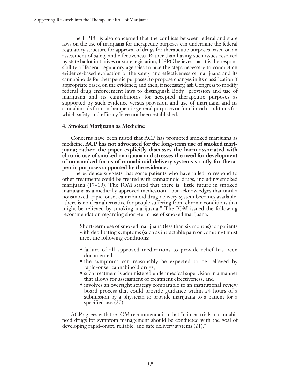The HPPC is also concerned that the conflicts between federal and state laws on the use of marijuana for therapeutic purposes can undermine the federal regulatory structure for approval of drugs for therapeutic purposes based on an assessment of safety and effectiveness. Rather than having such issues resolved by state ballot initiatives or state legislation, HPPC believes that it is the responsibility of federal regulatory agencies to take the steps necessary to conduct an evidence-based evaluation of the safety and effectiveness of marijuana and its cannabinoids for therapeutic purposes; to propose changes in its classification if appropriate based on the evidence; and then, if necessary, ask Congress to modify federal drug enforcement laws to distinguish Body provision and use of marijuana and its cannabinoids for accepted therapeutic purposes as supported by such evidence versus provision and use of marijuana and its cannabinoids for nontherapeutic general purposes or for clinical conditions for which safety and efficacy have not been established.

### **4. Smoked Marijuana as Medicine**

Concerns have been raised that ACP has promoted smoked marijuana as medicine. **ACP has not advocated for the long-term use of smoked marijuana; rather, the paper explicitly discusses the harm associated with chronic use of smoked marijuana and stresses the need for development of nonsmoked forms of cannabinoid delivery systems strictly for therapeutic purposes supported by the evidence.**

The evidence suggests that some patients who have failed to respond to other treatments could be treated with cannabinoid drugs, including smoked marijuana (17–19). The IOM stated that there is "little future in smoked marijuana as a medically approved medication," but acknowledges that until a nonsmoked, rapid-onset cannabinoid drug delivery system becomes available, "there is no clear alternative for people suffering from chronic conditions that might be relieved by smoking marijuana." The IOM issued the following recommendation regarding short-term use of smoked marijuana:

 Short-term use of smoked marijuana (less than six months) for patients with debilitating symptoms (such as intractable pain or vomiting) must meet the following conditions:

- failure of all approved medications to provide relief has been documented,
- the symptoms can reasonably be expected to be relieved by rapid-onset cannabinoid drugs,
- such treatment is administered under medical supervision in a manner that allows for assessment of treatment effectiveness, and
- involves an oversight strategy comparable to an institutional review board process that could provide guidance within 24 hours of a submission by a physician to provide marijuana to a patient for a specified use (20).

ACP agrees with the IOM recommendation that "clinical trials of cannabinoid drugs for symptom management should be conducted with the goal of developing rapid-onset, reliable, and safe delivery systems (21)."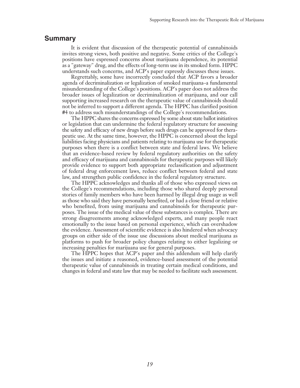### **Summary**

It is evident that discussion of the therapeutic potential of cannabinoids invites strong views, both positive and negative. Some critics of the College's positions have expressed concerns about marijuana dependence, its potential as a "gateway" drug, and the effects of long-term use in its smoked form. HPPC understands such concerns, and ACP's paper expressly discusses these issues.

Regrettably, some have incorrectly concluded that ACP favors a broader agenda of decriminalization or legalization of smoked marijuana–a fundamental misunderstanding of the College's positions. ACP's paper does not address the broader issues of legalization or decriminalization of marijuana, and our call supporting increased research on the therapeutic value of cannabinoids should not be inferred to support a different agenda. The HPPC has clarified position #4 to address such misunderstandings of the College's recommendations.

The HPPC shares the concerns expressed by some about state ballot initiatives or legislation that can undermine the federal regulatory structure for assessing the safety and efficacy of new drugs before such drugs can be approved for therapeutic use. At the same time, however, the HPPC is concerned about the legal liabilities facing physicians and patients relating to marijuana use for therapeutic purposes when there is a conflict between state and federal laws. We believe that an evidence-based review by federal regulatory authorities on the safety and efficacy of marijuana and cannabinoids for therapeutic purposes will likely provide evidence to support both appropriate reclassification and adjustment of federal drug enforcement laws, reduce conflict between federal and state law, and strengthen public confidence in the federal regulatory structure.

The HPPC acknowledges and thanks all of those who expressed views on the College's recommendations, including those who shared deeply personal stories of family members who have been harmed by illegal drug usage as well as those who said they have personally benefited, or had a close friend or relative who benefited, from using marijuana and cannabinoids for therapeutic purposes. The issue of the medical value of these substances is complex. There are strong disagreements among acknowledged experts, and many people react emotionally to the issue based on personal experience, which can overshadow the evidence. Assessment of scientific evidence is also hindered when advocacy groups on either side of the issue use discussions about medical marijuana as platforms to push for broader policy changes relating to either legalizing or increasing penalties for marijuana use for general purposes.

The HPPC hopes that ACP's paper and this addendum will help clarify the issues and initiate a reasoned, evidence-based assessment of the potential therapeutic value of cannabinoids in treating certain medical conditions, and changes in federal and state law that may be needed to facilitate such assessment.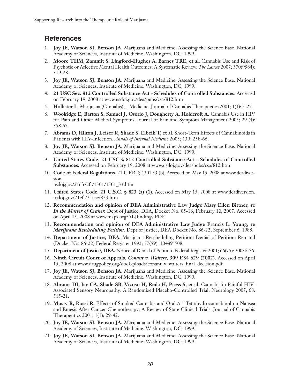# **References**

- 1. **Joy JE, Watson SJ, Benson JA.** Marijuana and Medicine: Assessing the Science Base. National Academy of Sciences, Institute of Medicine. Washington, DC; 1999.
- 2. **Moore THM, Zammit S, Lingford-Hughes A, Barnes TRE, et al.** Cannabis Use and Risk of Psychotic or Affective Mental Health Outcomes: A Systematic Review. *The Lancet* 2007; 370(9584): 319-28.
- 3. **Joy JE, Watson SJ, Benson JA.** Marijuana and Medicine: Assessing the Science Base. National Academy of Sciences, Institute of Medicine. Washington, DC; 1999.
- 4. **21 USC Sec. 812 Controlled Substance Act - Schedules of Controlled Substances.** Accessed on February 19, 2008 at www.usdoj.gov/dea/pubs/csa/812.htm
- 5. **Hollister L.** Marijuana (Cannabis) as Medicine. Journal of Cannabis Therapuetics 2001; 1(1): 5-27.
- 6. **Woolridge E, Barton S, Samuel J, Osorio J, Dougherty A, Holdcroft A.** Cannabis Use in HIV for Pain and Other Medical Symptoms. Journal of Pain and Symptom Management 2005; 29 (4): 358-67.
- 7. **Abrams D, Hilton J, Leiser R, Shade S, Elbeik T, et al.** Short-Term Effects of Cannabinoids in Patients with HIV-Infection. *Annals of Internal Medicine* 2003; 139: 258-66.
- 8. **Joy JE, Watson SJ, Benson JA.** Marijuana and Medicine: Assessing the Science Base. National Academy of Sciences, Institute of Medicine. Washington, DC; 1999.
- 9. **United States Code. 21 USC § 812 Controlled Substance Act - Schedules of Controlled Substances.** Accessed on February 19, 2008 at www.usdoj.gov/dea/pubs/csa/812.htm
- 10. **Code of Federal Regulations.** 21 C.F.R. § 1301.33 (b). Accessed on May 15, 2008 at www.deadiversion.

usdoj.gov/21cfr/cfr/1301/1301\_33.htm

- 11. **United States Code. 21 U.S.C. § 823 (a) (1)**. Accessed on May 15, 2008 at www.deadiversion. usdoj.gov/21cfr/21usc/823.htm
- 12. **Recommendation and opinion of DEA Administrative Law Judge Mary Ellen Bittner, re** *In the Matter of Craker.* Dept of Justice, DEA, Docket No. 05-16, February 12, 2007. Accessed on April 15, 2008 at www.maps.org/ALJfindings.PDF
- 13. **Recommendation and opinion of DEA Administrative Law Judge Francis L. Young, re** *Marijuana Rescheduling Petition***.** Dept of Justice, DEA Docket No. 86-22, September 6, 1988.
- 14. **Department of Justice, DEA.** Marijuana Rescheduling Petition: Denial of Petition: Remand (Docket No. 86-22) Federal Register 1992; 57(59): 10489-508.
- 15. **Department of Justice, DEA.** Notice of Denial of Petition. Federal Register 2001; 66(75): 20038-76.
- 16. **Ninth Circuit Court of Appeals,** *Conant v. Walters***, 309 F.34 629 (2002).** Accessed on April 15, 2008 at www.drugpolicy.org/docUploads/conant\_v\_walters\_final\_decision.pdf
- 17. **Joy JE, Watson SJ, Benson JA.** Marijuana and Medicine: Assessing the Science Base. National Academy of Sciences, Institute of Medicine. Washington, DC; 1999.
- 18. **Abrams DI, Jay CA, Shade SB, Vizoso H, Reda H, Press S, et al.** Cannabis in Painful HIV-Associated Sensory Neuropathy: A Randomized Placebo-Controlled Trial. Neurology 2007; 68: 515-21.
- 19. **Musty R, Rossi R.** Effects of Smoked Cannabis and Oral ∆ 9- Tetrahydrocannabinol on Nausea and Emesis After Cancer Chemotherapy: A Review of State Clinical Trials. Journal of Cannabis Therapeutics 2001; 1(1): 29-42.
- 20. **Joy JE, Watson SJ, Benson JA.** Marijuana and Medicine: Assessing the Science Base. National Academy of Sciences, Institute of Medicine. Washington, DC; 1999.
- 21. **Joy JE, Watson SJ, Benson JA.** Marijuana and Medicine: Assessing the Science Base. National Academy of Sciences, Institute of Medicine. Washington, DC; 1999.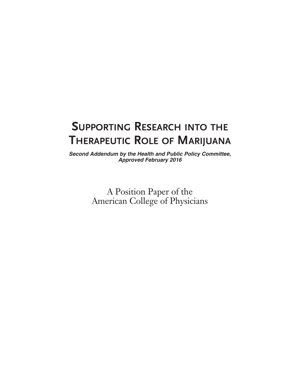# **SUPPORTING RESEARCH INTO THE THERAPEUTIC ROLE OF MARIJUANA**

*Second Addendum by the Health and Public Policy Committee, Approved February 2016*

> A Position Paper of the American College of Physicians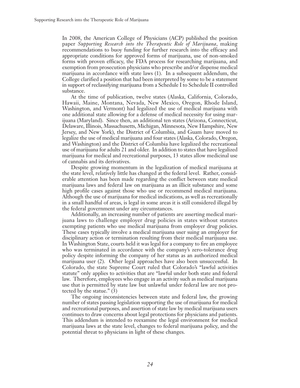In 2008, the American College of Physicians (ACP) published the position paper *Supporting Research into the Therapeutic Role of Marijuana*, making recommendations to buoy funding for further research into the efficacy and appropriate conditions for approved forms of marijuana, use of non-smoked forms with proven efficacy, the FDA process for researching marijuana, and exemption from prosecution physicians who prescribe and/or dispense medical marijuana in accordance with state laws (1). In a subsequent addendum, the College clarified a position that had been interpreted by some to be a statement in support of reclassifying marijuana from a Schedule I to Schedule II controlled substance.

At the time of publication, twelve states (Alaska, California, Colorado, Hawaii, Maine, Montana, Nevada, New Mexico, Oregon, Rhode Island, Washington, and Vermont) had legalized the use of medical marijuana with one additional state allowing for a defense of medical necessity for using marijuana (Maryland). Since then, an additional ten states (Arizona, Connecticut, Delaware, Illinois, Massachusetts, Michigan, Minnesota, New Hampshire, New Jersey, and New York), the District of Columbia, and Guam have moved to legalize the use of medical marijuana and four states (Alaska, Colorado, Oregon, and Washington) and the District of Columbia have legalized the recreational use of marijuana for adults 21 and older. In addition to states that have legalized marijuana for medical and recreational purposes, 13 states allow medicinal use of cannabis and its derivatives.

Despite growing momentum in the legalization of medical marijuana at the state level, relatively little has changed at the federal level. Rather, considerable attention has been made regarding the conflict between state medical marijuana laws and federal law on marijuana as an illicit substance and some high profile cases against those who use or recommend medical marijuana. Although the use of marijuana for medical indications, as well as recreationally in a small handful of areas, is legal in some areas it is still considered illegal by the federal government under any circumstances.

Additionally, an increasing number of patients are asserting medical marijuana laws to challenge employer drug policies in states without statutes exempting patients who use medical marijuana from employer drug policies. These cases typically involve a medical marijuana user suing an employer for disciplinary action or termination resulting from their medical marijuana use. In Washington State, courts held it was legal for a company to fire an employee who was terminated in accordance with the company's zero-tolerance drug policy despite informing the company of her status as an authorized medical marijuana user (2). Other legal approaches have also been unsuccessful. In Colorado, the state Supreme Court ruled that Colorado's "lawful activities statute" only applies to activities that are "lawful under both state and federal law. Therefore, employees who engage in an activity such as medical marijuana use that is permitted by state law but unlawful under federal law are not protected by the statue." (3)

The ongoing inconsistencies between state and federal law, the growing number of states passing legislation supporting the use of marijuana for medical and recreational purposes, and assertion of state law by medical marijuana users continues to draw concerns about legal protections for physicians and patients. This addendum is intended to reexamine the legal environment for medical marijuana laws at the state level, changes to federal marijuana policy, and the potential threat to physicians in light of these changes.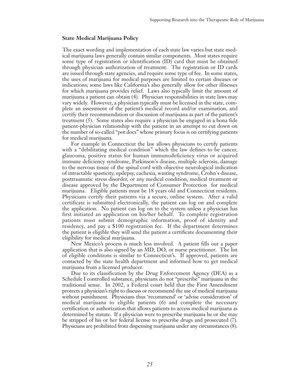### **State Medical Marijuana Policy**

The exact wording and implementation of each state law varies but state medical marijuana laws generally contain similar components. Most states require some type of registration or identification (ID) card that must be obtained through physician authorization of treatment. The registration or ID cards are issued through state agencies, and require some type of fee. In some states, the uses of marijuana for medical purposes are limited to certain diseases or indications; some laws like California's also generally allow for other illnesses for which marijuana provides relief. Laws also typically limit the amount of marijuana a patient can obtain (4). Physician responsibilities in state laws may vary widely. However, a physician typically must be licensed in the state, complete an assessment of the patient's medical record and/or examination, and certify their recommendation or discussion of marijuana as part of the patient's treatment (5). Some states also require a physician be engaged in a bona fide patient-physician relationship with the patient in an attempt to cut down on the number of so-called "pot docs" whose primary focus is on certifying patients for medical marijuana.

For example in Connecticut the law allows physicians to certify patients with a "debilitating medical condition" which the law defines to be cancer, glaucoma, positive status for human immunodeficiency virus or acquired immune deficiency syndrome, Parkinson's disease, multiple sclerosis, damage to the nervous tissue of the spinal cord with objective neurological indication of intractable spasticity, epilepsy, cachexia, wasting syndrome, Crohn's disease, posttraumatic stress disorder, or any medical condition, medical treatment or disease approved by the Department of Consumer Protection for medical marijuana. Eligible patients must be 18 years old and Connecticut residents. Physicians certify their patients via a secure, online system. After a valid certificate is submitted electronically, the patient can log on and complete the application. No patient can log on to the system unless a physician has first initiated an application on his/her behalf. To complete registration patients must submit demographic information, proof of identity and residency, and pay a \$100 registration fee. If the department determines the patient is eligible they will send the patient a certificate documenting their eligibility for medical marijuana.

New Mexico's process is much less involved. A patient fills out a paper application that is also signed by an MD, DO, or nurse practitioner. The list of eligible conditions is similar to Connecticut's. If approved, patients are contacted by the state health department and informed how to get medical marijuana from a licensed producer.

Due to its classification by the Drug Enforcement Agency (DEA) as a Schedule I controlled substance, physicians do not "prescribe" marijuana in the traditional sense. In 2002, a Federal court held that the First Amendment protects a physician's right to discuss or recommend the use of medical marijuana without punishment. Physicians thus 'recommend' or 'advise consideration' of medical marijuana to eligible patients (6) and complete the necessary certification or authorization that allows patients to access medical marijuana as determined by statute. If a physician were to prescribe marijuana he or she may be stripped of his or her federal license to prescribe drugs and prosecuted (7). Physicians are prohibited from dispensing marijuana under any circumstances (8).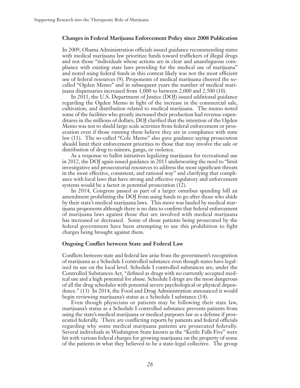### **Changes in Federal Marijuana Enforcement Policy since 2008 Publication**

In 2009, Obama Administration officials issued guidance recommending states with medical marijuana law prioritize funds toward traffickers of illegal drugs and not those "individuals whose actions are in clear and unambiguous compliance with existing state laws providing for the medical use of marijuana" and noted using federal funds in this context likely was not the most efficient use of federal resources (9). Proponents of medical marijuana cheered the socalled "Ogden Memo" and in subsequent years the number of medical marijuana dispensaries increased from 1,000 to between 2,000 and 2,500 (10).

In 2011, the U.S. Department of Justice (DOJ) issued additional guidance regarding the Ogden Memo in light of the increase in the commercial sale, cultivation, and distribution related to medical marijuana. The memo noted some of the facilities who greatly increased their production had revenue expenditures in the millions of dollars; DOJ clarified that the intention of the Ogden Memo was not to shield large scale activities from federal enforcement or prosecution even if those running them believe they are in compliance with state law (11). The so-called "Cole Memo" also gave guidance saying prosecution should limit their enforcement priorities to those that may involve the sale or distribution of drug to minors, gangs, or violence.

As a response to ballot initiatives legalizing marijuana for recreational use in 2012, the DOJ again issued guidance in 2013 underscoring the need to "limit investigative and prosecutorial resources to address the most significant threats in the most effective, consistent, and rational way" and clarifying that compliance with local laws that have strong and effective regulatory and enforcement systems would be a factor in potential prosecution (12).

In 2014, Congress passed as part of a larger omnibus spending bill an amendment prohibiting the DOJ from using funds to go after those who abide by their state's medical marijuana laws. This move was lauded by medical marijuana proponents although there is no data to confirm that federal enforcement of marijuana laws against those that are involved with medical marijuana has increased or decreased. Some of those patients being prosecuted by the federal government have been attempting to use this prohibition to fight charges being brought against them.

### **Ongoing Conflict between State and Federal Law**

Conflicts between state and federal law arise from the government's recognition of marijuana as a Schedule I controlled substance even though states have legalized its use on the local level. Schedule I controlled substances are, under the Controlled Substances Act, "defined as drugs with no currently accepted medical use and a high potential for abuse. Schedule I drugs are the most dangerous of all the drug schedules with potential severe psychological or physical dependence." (13) In 2014, the Food and Drug Administration announced it would begin reviewing marijuana's status as a Schedule I substance (14).

Even though physicians or patients may be following their state law, marijuana's status as a Schedule I controlled substance prevents patients from using the state's medical marijuana or medical purposes law as a defense if prosecuted federally. There are conflicting reports by patients and federal officials regarding why some medical marijuana patients are prosecuted federally. Several individuals in Washington State known as the "Kettle Falls Five" were hit with various federal charges for growing marijuana on the property of some of the patients in what they believed to be a state-legal collective. The group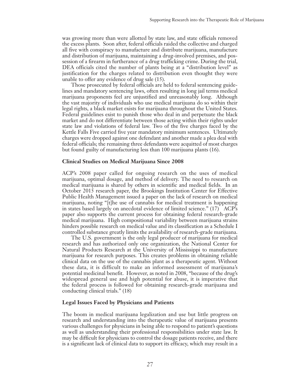was growing more than were allotted by state law, and state officials removed the excess plants. Soon after, federal officials raided the collective and charged all five with conspiracy to manufacture and distribute marijuana, manufacture and distribution of marijuana, maintaining a drug-involved premises, and possession of a firearm in furtherance of a drug trafficking crime. During the trial, DEA officials cited the number of plants being at a "distribution level" as justification for the charges related to distribution even thought they were unable to offer any evidence of drug sale (15).

Those prosecuted by federal officials are held to federal sentencing guidelines and mandatory sentencing laws, often resulting in long jail terms medical marijuana proponents feel are unjustified and unreasonably long. Although the vast majority of individuals who use medical marijuana do so within their legal rights, a black market exists for marijuana throughout the United States. Federal guidelines exist to punish those who deal in and perpetuate the black market and do not differentiate between those acting within their rights under state law and violations of federal law. Two of the five charges faced by the Kettle Falls Five carried five year mandatory minimum sentences. Ultimately charges were dropped against one defendant and another made a plea deal with federal officials; the remaining three defendants were acquitted of most charges but found guilty of manufacturing less than 100 marijuana plants (16).

### **Clinical Studies on Medical Marijuana Since 2008**

ACP's 2008 paper called for ongoing research on the uses of medical marijuana, optimal dosage, and method of delivery. The need to research on medical marijuana is shared by others in scientific and medical fields. In an October 2015 research paper, the Brookings Institution Center for Effective Public Health Management issued a paper on the lack of research on medical marijuana, noting "[t]he use of cannabis for medical treatment is happening in states based largely on anecdotal evidence of limited science." (17) ACP's paper also supports the current process for obtaining federal research-grade medical marijuana. High compositional variability between marijuana strains hinders possible research on medical value and its classification as a Schedule I controlled substance greatly limits the availability of research-grade marijuana.

The U.S. government is the only legal producer of marijuana for medical research and has authorized only one organization, the National Center for Natural Products Research at the University of Mississippi to manufacture marijuana for research purposes. This creates problems in obtaining reliable clinical data on the use of the cannabis plant as a therapeutic agent. Without these data, it is difficult to make an informed assessment of marijuana's potential medicinal benefit. However, as noted in 2008, "because of the drug's widespread general use and high potential for abuse, it is imperative that the federal process is followed for obtaining research-grade marijuana and conducting clinical trials." (18)

### **Legal Issues Faced by Physicians and Patients**

The boom in medical marijuana legalization and use but little progress on research and understanding into the therapeutic value of marijuana presents various challenges for physicians in being able to respond to patient's questions as well as understanding their professional responsibilities under state law. It may be difficult for physicians to control the dosage patients receive, and there is a significant lack of clinical data to support its efficacy, which may result in a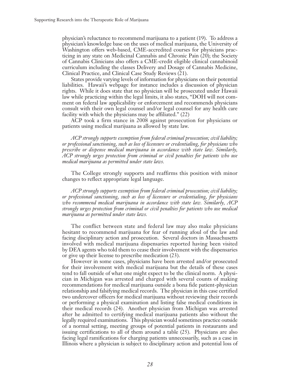physician's reluctance to recommend marijuana to a patient (19). To address a physician's knowledge base on the uses of medical marijuana, the University of Washington offers web-based, CME-accredited courses for physicians practicing in any state on Medicinal Cannabis and Chronic Pain (20); the Society of Cannabis Clinicians also offers a CME-credit eligible clinical cannabinoid curriculum including the classes Delivery and Dosage of Cannabis Medicine, Clinical Practice, and Clinical Case Study Reviews (21).

States provide varying levels of information for physicians on their potential liabilities. Hawaii's webpage for instance includes a discussion of physician rights. While it does state that no physician will be prosecuted under Hawaii law while practicing within the legal limits, it also states, "DOH will not comment on federal law applicability or enforcement and recommends physicians consult with their own legal counsel and/or legal counsel for any health care facility with which the physicians may be affiliated." (22)

ACP took a firm stance in 2008 against prosecution for physicians or patients using medical marijuana as allowed by state law.

*ACP strongly supports exemption from federal criminal prosecution; civil liability; or professional sanctioning, such as loss of licensure or credentialing, for physicians who prescribe or dispense medical marijuana in accordance with state law. Similarly, ACP strongly urges protection from criminal or civil penalties for patients who use medical marijuana as permitted under state laws.*

The College strongly supports and reaffirms this position with minor changes to reflect appropriate legal language.

*ACP strongly supports exemption from federal criminal prosecution; civil liability; or professional sanctioning, such as loss of licensure or credentialing, for physicians who recommend medical marijuana in accordance with state law. Similarly, ACP strongly urges protection from criminal or civil penalties for patients who use medical marijuana as permitted under state laws.*

The conflict between state and federal law may also make physicians hesitant to recommend marijuana for fear of running afoul of the law and facing disciplinary action and prosecution. Several doctors in Massachusetts involved with medical marijuana dispensaries reported having been visited by DEA agents who told them to cease their involvement with the dispensaries or give up their license to prescribe medication (23).

However in some cases, physicians have been arrested and/or prosecuted for their involvement with medical marijuana but the details of these cases tend to fall outside of what one might expect to be the clinical norm. A physician in Michigan was arrested and charged with several counts of making recommendations for medical marijuana outside a bona fide patient-physician relationship and falsifying medical records. The physician in this case certified two undercover officers for medical marijuana without reviewing their records or performing a physical examination and listing false medical conditions in their medical records (24). Another physician from Michigan was arrested after he admitted to certifying medical marijuana patients also without the legally required examinations. This physician would sometimes practice outside of a normal setting, meeting groups of potential patients in restaurants and issuing certifications to all of them around a table (25). Physicians are also facing legal ramifications for charging patients unnecessarily, such as a case in Illinois where a physician is subject to disciplinary action and potential loss of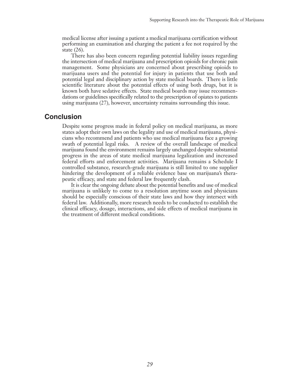medical license after issuing a patient a medical marijuana certification without performing an examination and charging the patient a fee not required by the state (26).

There has also been concern regarding potential liability issues regarding the intersection of medical marijuana and prescription opioids for chronic pain management. Some physicians are concerned about prescribing opioids to marijuana users and the potential for injury in patients that use both and potential legal and disciplinary action by state medical boards. There is little scientific literature about the potential effects of using both drugs, but it is known both have sedative effects. State medical boards may issue recommendations or guidelines specifically related to the prescription of opiates to patients using marijuana (27), however, uncertainty remains surrounding this issue.

### **Conclusion**

Despite some progress made in federal policy on medical marijuana, as more states adopt their own laws on the legality and use of medical marijuana, physicians who recommend and patients who use medical marijuana face a growing swath of potential legal risks. A review of the overall landscape of medical marijuana found the environment remains largely unchanged despite substantial progress in the areas of state medical marijuana legalization and increased federal efforts and enforcement activities. Marijuana remains a Schedule I controlled substance, research-grade marijuana is still limited to one supplier hindering the development of a reliable evidence base on marijuana's therapeutic efficacy, and state and federal law frequently clash.

It is clear the ongoing debate about the potential benefits and use of medical marijuana is unlikely to come to a resolution anytime soon and physicians should be especially conscious of their state laws and how they intersect with federal law. Additionally, more research needs to be conducted to establish the clinical efficacy, dosage, interactions, and side effects of medical marijuana in the treatment of different medical conditions.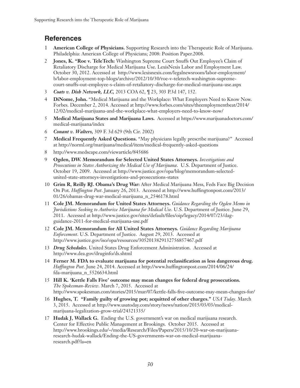# **References**

- 1 **American College of Physicians.** Supporting Research into the Therapeutic Role of Marijuana. Philadelphia: American College of Physicians; 2008: Position Paper.2008.
- 2 **Jones, K. "Roe v. TeleTech:** Washington Supreme Court Snuffs Out Employee's Claim of Retaliatory Discharge for Medical Marijuana Use. LexisNexis Labor and Employment Law. October 30, 2012. Accessed at http://www.lexisnexis.com/legalnewsroom/labor-employment/ b/labor-employment-top-blogs/archive/2012/10/30/roe-v-teletech-washington-supremecourt-snuffs-out-employee-s-claim-of-retaliatory-discharge-for-medical-marijuana-use.aspx
- 3 *Coats v. Dish Network, LLC,* 2013 COA 62, ¶ 23, 303 P.3d 147, 152.
- 4 **DiNome, John.** "Medical Marijuana and the Workplace: What Employers Need to Know Now. Forbes. December 2, 2014. Accessed at http://www.forbes.com/sites/theemploymentbeat/2014/ 12/02/medical-marijuana-and-the-workplace-what-employers-need-to-know-now/
- 5 **Medical Marijuana States and Marijuana Laws.** Accessed at https://www.marijuanadoctors.com/ medical-marijuana/index
- 6 *Conant v. Walters,* 309 F. 3d 629 (9th Cir. 2002)
- 7 **Medical Frequently Asked Questions.** "May physicians legally prescribe marijuana?" Accessed at http://norml.org/marijuana/medical/item/medical-frequently-asked-questions
- 8 http://www.medscape.com/viewarticle/845686
- 9 **Ogden, DW. Memorandum for Selected United States Attorneys.** *Investigations and Prosecutions in States Authorizing the Medical Use of Marijuana*. U.S. Department of Justice. October 19, 2009. Accessed at http://www.justice.gov/opa/blog/memorandum-selectedunited-state-attorneys-investigations-and-prosecutions-states
- 10 **Grim R, Reilly RJ. Obama's Drug War:** After Medical Marijuana Mess, Feds Face Big Decision On Pot. *Huffington Post*. January 26, 2013. Accessed at http://www.huffingtonpost.com/2013/ 01/26/obamas-drug-war-medical-marijuana\_n\_2546178.html
- 11 **Cole JM. Memorandum for United States Attorneys.** *Guidance Regarding the Ogden Memo in Jurisdictions Seeking to Authorize Marijuana for Medical Use*. U.S. Department of Justice. June 29, 2011. Accessed at http://www.justice.gov/sites/default/files/oip/legacy/2014/07/23/dagguidance-2011-for-medical-marijuana-use.pdf
- 12 **Cole JM. Memorandum for All United States Attorneys.** *Guidance Regarding Marijuana Enforcement*. U.S. Department of Justice. August 29, 2013. Accessed at http://www.justice.gov/iso/opa/resources/3052013829132756857467.pdf
- 13 *Drug Schedules***.** United States Drug Enforcement Administration. Accessed at http://www.dea.gov/druginfo/ds.shtml
- 14 **Ferner M. FDA to evaluate marijuana for potential reclassification as less dangerous drug.** *Huffington Post*. June 24, 2014. Accessed at http://www.huffingtonpost.com/2014/06/24/ fda-marijuana\_n\_5526634.html
- 15 **Hill K. 'Kettle Falls Five' outcome may mean changes for federal drug prosecutions.** *The Spokesman-Review*. March 7, 2015. Accessed at http://www.spokesman.com/stories/2015/mar/07/kettle-falls-five-outcome-may-mean-changes-for/
- 16 **Hughes, T. "Family guilty of growing pot; acquitted of other charges."** *USA Today*. March 3, 2015. Accessed at http://www.usatoday.com/story/news/nation/2015/03/03/medicalmarijuana-legalization-grow-trial/24321335/
- 17 **Hudak J, Wallack G.** Ending the U.S. government's war on medical marijuana research. Center for Effective Public Management at Brookings. October 2015. Accessed at http://www.brookings.edu/~/media/Research/Files/Papers/2015/10/20-war-on-marijuanaresearch-hudak-wallack/Ending-the-US-governments-war-on-medical-marijuanaresearch.pdf?la=en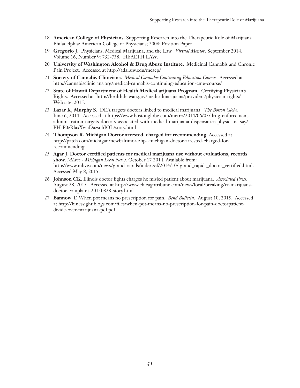- 18 **American College of Physicians.** Supporting Research into the Therapeutic Role of Marijuana. Philadelphia: American College of Physicians; 2008: Position Paper.
- 19 **Gregorio J.** Physicians, Medical Marijuana, and the Law. *Virtual Mentor*. September 2014. Volume 16, Number 9: 732-738. HEALTH LAW.
- 20 **University of Washington Alcohol & Drug Abuse Institute.** Medicinal Cannabis and Chronic Pain Project. Accessed at http://adai.uw.edu/mcacp/
- 21 **Society of Cannabis Clinicians.** *Medical Cannabis Continuing Education Course*. Accessed at http://cannabisclinicians.org/medical-cannabis-continuing-education-cme-course/
- 22 **State of Hawaii Department of Health Medical arijuana Program.** Certifying Physician's Rights. Accessed at http://health.hawaii.gov/medicalmarijuana/providers/physician-rights/ Web site. 2015.
- 23 **Lazar K, Murphy S.** DEA targets doctors linked to medical marijuana. *The Boston Globe*. June 6, 2014. Accessed at https://www.bostonglobe.com/metro/2014/06/05/drug-enforcementadministration-targets-doctors-associated-with-medical-marijuana-dispensaries-physicians-say/ PHsP0zRlaxXwnDazsohIOL/story.html
- 24 **Thompson R. Michigan Doctor arrested, charged for recommending.** Accessed at http://patch.com/michigan/newbaltimore/bp--michigan-doctor-arrested-charged-forrecommending
- 25 **Agar J. Doctor certified patients for medical marijuana use without evaluations, records show.** *MLive - Michigan Local News*. October 17 2014. Available from: http://www.mlive.com/news/grand-rapids/index.ssf/2014/10/ grand\_rapids\_doctor\_certified.html. Accessed May 8, 2015.
- 26 **Johnson CK.** Illinois doctor fights charges he misled patient about marijuana. *Associated Press*. August 28, 2015. Accessed at http://www.chicagotribune.com/news/local/breaking/ct-marijuanadoctor-complaint-20150828-story.html
- 27 **Bannow T.** When pot means no prescription for pain. *Bend Bulletin*. August 10, 2015. Accessed at http://hinessight.blogs.com/files/when-pot-means-no-prescription-for-pain-doctorpatientdivide-over-marijuana-pdf.pdf